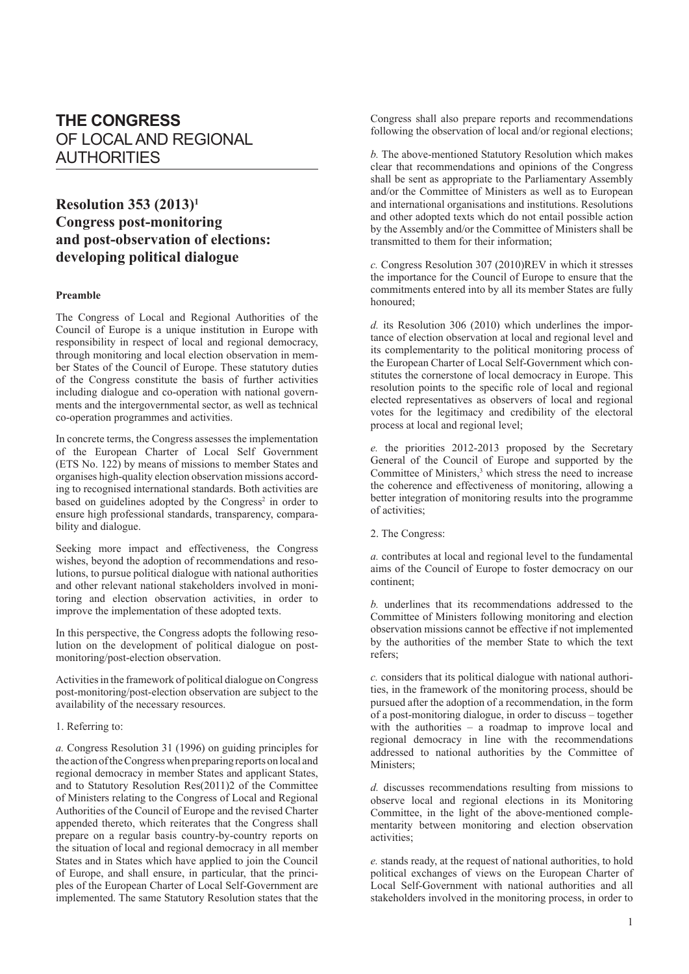# **THE CONGRESS** OF LOCAL AND REGIONAL AUTHORITIES

# **Resolution 353 (2013)1 Congress post-monitoring and post-observation of elections: developing political dialogue**

# **Preamble**

The Congress of Local and Regional Authorities of the Council of Europe is a unique institution in Europe with responsibility in respect of local and regional democracy, through monitoring and local election observation in member States of the Council of Europe. These statutory duties of the Congress constitute the basis of further activities including dialogue and co-operation with national governments and the intergovernmental sector, as well as technical co-operation programmes and activities.

In concrete terms, the Congress assesses the implementation of the European Charter of Local Self Government (ETS No. 122) by means of missions to member States and organises high-quality election observation missions according to recognised international standards. Both activities are based on guidelines adopted by the Congress<sup>2</sup> in order to ensure high professional standards, transparency, comparability and dialogue.

Seeking more impact and effectiveness, the Congress wishes, beyond the adoption of recommendations and resolutions, to pursue political dialogue with national authorities and other relevant national stakeholders involved in monitoring and election observation activities, in order to improve the implementation of these adopted texts.

In this perspective, the Congress adopts the following resolution on the development of political dialogue on postmonitoring/post-election observation.

Activities in the framework of political dialogue on Congress post-monitoring/post-election observation are subject to the availability of the necessary resources.

#### 1. Referring to:

*a.* Congress Resolution 31 (1996) on guiding principles for the action of the Congress when preparing reports on local and regional democracy in member States and applicant States, and to Statutory Resolution Res(2011)2 of the Committee of Ministers relating to the Congress of Local and Regional Authorities of the Council of Europe and the revised Charter appended thereto, which reiterates that the Congress shall prepare on a regular basis country-by-country reports on the situation of local and regional democracy in all member States and in States which have applied to join the Council of Europe, and shall ensure, in particular, that the principles of the European Charter of Local Self-Government are implemented. The same Statutory Resolution states that the Congress shall also prepare reports and recommendations following the observation of local and/or regional elections;

*b.* The above-mentioned Statutory Resolution which makes clear that recommendations and opinions of the Congress shall be sent as appropriate to the Parliamentary Assembly and/or the Committee of Ministers as well as to European and international organisations and institutions. Resolutions and other adopted texts which do not entail possible action by the Assembly and/or the Committee of Ministers shall be transmitted to them for their information;

*c.* Congress Resolution 307 (2010)REV in which it stresses the importance for the Council of Europe to ensure that the commitments entered into by all its member States are fully honoured;

*d.* its Resolution 306 (2010) which underlines the importance of election observation at local and regional level and its complementarity to the political monitoring process of the European Charter of Local Self-Government which constitutes the cornerstone of local democracy in Europe. This resolution points to the specific role of local and regional elected representatives as observers of local and regional votes for the legitimacy and credibility of the electoral process at local and regional level;

*e.* the priorities 2012-2013 proposed by the Secretary General of the Council of Europe and supported by the Committee of Ministers,<sup>3</sup> which stress the need to increase the coherence and effectiveness of monitoring, allowing a better integration of monitoring results into the programme of activities;

2. The Congress:

*a.* contributes at local and regional level to the fundamental aims of the Council of Europe to foster democracy on our continent;

*b.* underlines that its recommendations addressed to the Committee of Ministers following monitoring and election observation missions cannot be effective if not implemented by the authorities of the member State to which the text refers;

*c.* considers that its political dialogue with national authorities, in the framework of the monitoring process, should be pursued after the adoption of a recommendation, in the form of a post-monitoring dialogue, in order to discuss – together with the authorities – a roadmap to improve local and regional democracy in line with the recommendations addressed to national authorities by the Committee of Ministers:

*d.* discusses recommendations resulting from missions to observe local and regional elections in its Monitoring Committee, in the light of the above-mentioned complementarity between monitoring and election observation activities;

*e.* stands ready, at the request of national authorities, to hold political exchanges of views on the European Charter of Local Self-Government with national authorities and all stakeholders involved in the monitoring process, in order to